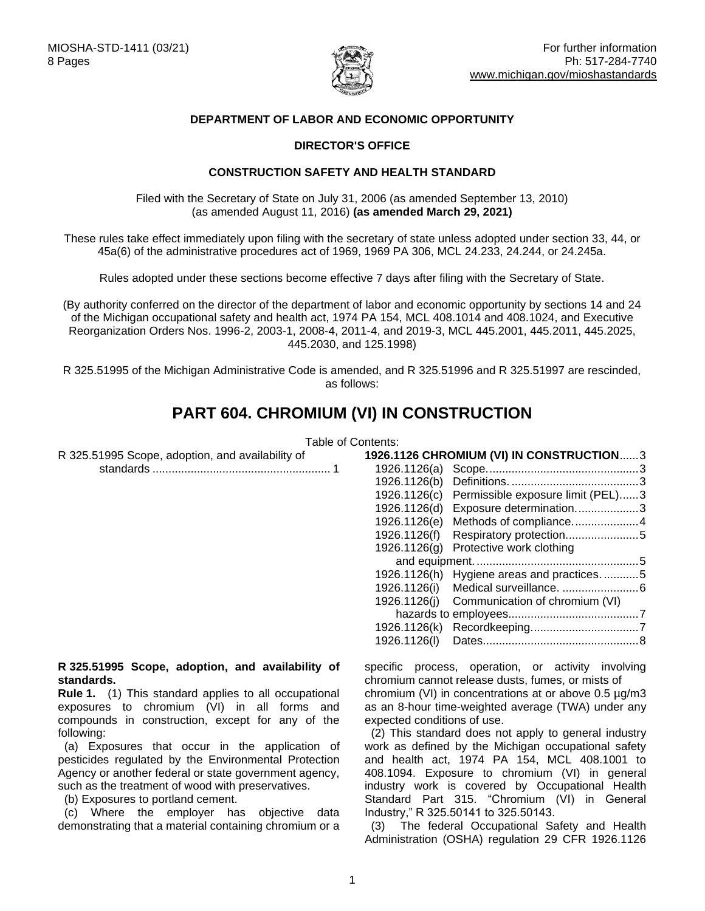

# **DEPARTMENT OF LABOR AND ECONOMIC OPPORTUNITY**

#### **DIRECTOR'S OFFICE**

#### **CONSTRUCTION SAFETY AND HEALTH STANDARD**

Filed with the Secretary of State on July 31, 2006 (as amended September 13, 2010) (as amended August 11, 2016) **(as amended March 29, 2021)**

These rules take effect immediately upon filing with the secretary of state unless adopted under section 33, 44, or 45a(6) of the administrative procedures act of 1969, 1969 PA 306, MCL 24.233, 24.244, or 24.245a.

Rules adopted under these sections become effective 7 days after filing with the Secretary of State.

(By authority conferred on the director of the department of labor and economic opportunity by sections 14 and 24 of the Michigan occupational safety and health act, 1974 PA 154, MCL 408.1014 and 408.1024, and Executive Reorganization Orders Nos. 1996-2, 2003-1, 2008-4, 2011-4, and 2019-3, MCL 445.2001, 445.2011, 445.2025, 445.2030, and 125.1998)

R 325.51995 of the Michigan Administrative Code is amended, and R 325.51996 and R 325.51997 are rescinded, as follows:

# **PART 604. CHROMIUM (VI) IN CONSTRUCTION**

Table of Contents:

| R 325.51995 Scope, adoption, and availability of               | 1926.1126 CHROMIUM (VI) IN CONSTRUCTION3                                                                |  |
|----------------------------------------------------------------|---------------------------------------------------------------------------------------------------------|--|
|                                                                |                                                                                                         |  |
|                                                                | 1926.1126(b)                                                                                            |  |
|                                                                | 1926.1126(c) Permissible exposure limit (PEL)3                                                          |  |
|                                                                | 1926.1126(d)<br>Exposure determination3                                                                 |  |
|                                                                |                                                                                                         |  |
|                                                                | Respiratory protection5<br>1926.1126(f)                                                                 |  |
|                                                                | 1926.1126(g) Protective work clothing                                                                   |  |
|                                                                |                                                                                                         |  |
|                                                                | 1926.1126(h) Hygiene areas and practices5                                                               |  |
|                                                                | 1926.1126(i)                                                                                            |  |
|                                                                | 1926.1126(j) Communication of chromium (VI)                                                             |  |
|                                                                |                                                                                                         |  |
|                                                                |                                                                                                         |  |
|                                                                | 1926.1126(I)                                                                                            |  |
|                                                                |                                                                                                         |  |
| R 325.51995 Scope, adoption, and availability of<br>standards. | specific process, operation, or activity involving<br>chromium cannot release dusts, fumes, or mists of |  |
| <b>Rule 1.</b> (1) This standard applies to all occupational   | chromium (VI) in concentrations at or above $0.5 \mu g/m3$                                              |  |

<span id="page-0-0"></span>exposures to chromium (VI) in all forms and compounds in construction, except for any of the following: (a) Exposures that occur in the application of

pesticides regulated by the Environmental Protection Agency or another federal or state government agency, such as the treatment of wood with preservatives.

(b) Exposures to portland cement.

 (c) Where the employer has objective data demonstrating that a material containing chromium or a

chromium (VI) in concentrations at or above 0.5 µg/m3 as an 8-hour time-weighted average (TWA) under any expected conditions of use.

 (2) This standard does not apply to general industry work as defined by the Michigan occupational safety and health act, 1974 PA 154, MCL 408.1001 to 408.1094. Exposure to chromium (VI) in general industry work is covered by Occupational Health Standard Part 315. "Chromium (VI) in General Industry," R 325.50141 to 325.50143.

 (3) The federal Occupational Safety and Health Administration (OSHA) regulation 29 CFR 1926.1126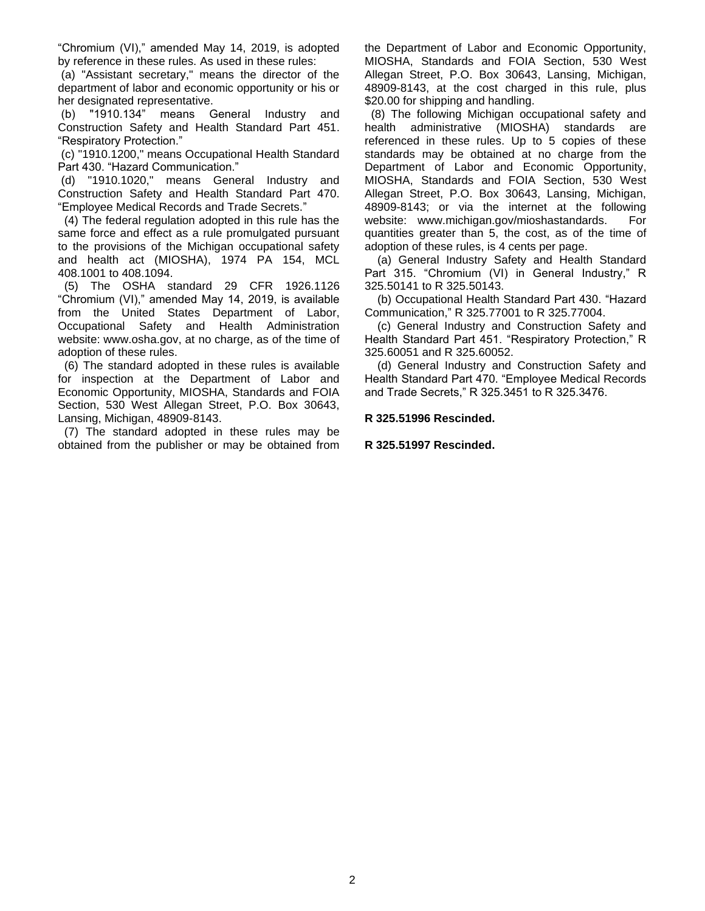"Chromium (VI)," amended May 14, 2019, is adopted by reference in these rules. As used in these rules:

(a) "Assistant secretary," means the director of the department of labor and economic opportunity or his or her designated representative.

(b) "1910.134" means General Industry and Construction Safety and Health Standard Part 451. "Respiratory Protection."

(c) "1910.1200," means Occupational Health Standard Part 430. "Hazard Communication."

(d) "1910.1020," means General Industry and Construction Safety and Health Standard Part 470. "Employee Medical Records and Trade Secrets."

(4) The federal regulation adopted in this rule has the same force and effect as a rule promulgated pursuant to the provisions of the Michigan occupational safety and health act (MIOSHA), 1974 PA 154, MCL 408.1001 to 408.1094.

 (5) The OSHA standard 29 CFR 1926.1126 "Chromium (VI)," amended May 14, 2019, is available from the United States Department of Labor, Occupational Safety and Health Administration website: www.osha.gov, at no charge, as of the time of adoption of these rules.

 (6) The standard adopted in these rules is available for inspection at the Department of Labor and Economic Opportunity, MIOSHA, Standards and FOIA Section, 530 West Allegan Street, P.O. Box 30643, Lansing, Michigan, 48909-8143.

<span id="page-1-0"></span> (7) The standard adopted in these rules may be obtained from the publisher or may be obtained from the Department of Labor and Economic Opportunity, MIOSHA, Standards and FOIA Section, 530 West Allegan Street, P.O. Box 30643, Lansing, Michigan, 48909-8143, at the cost charged in this rule, plus \$20.00 for shipping and handling.

 (8) The following Michigan occupational safety and health administrative (MIOSHA) standards are referenced in these rules. Up to 5 copies of these standards may be obtained at no charge from the Department of Labor and Economic Opportunity, MIOSHA, Standards and FOIA Section, 530 West Allegan Street, P.O. Box 30643, Lansing, Michigan, 48909-8143; or via the internet at the following website: www.michigan.gov/mioshastandards. For quantities greater than 5, the cost, as of the time of adoption of these rules, is 4 cents per page.

 (a) General Industry Safety and Health Standard Part 315. "Chromium (VI) in General Industry," R 325.50141 to R 325.50143.

 (b) Occupational Health Standard Part 430. "Hazard Communication," R 325.77001 to R 325.77004.

 (c) General Industry and Construction Safety and Health Standard Part 451. "Respiratory Protection," R 325.60051 and R 325.60052.

 (d) General Industry and Construction Safety and Health Standard Part 470. "Employee Medical Records and Trade Secrets," R 325.3451 to R 325.3476.

#### **R 325.51996 Rescinded.**

#### **R 325.51997 Rescinded.**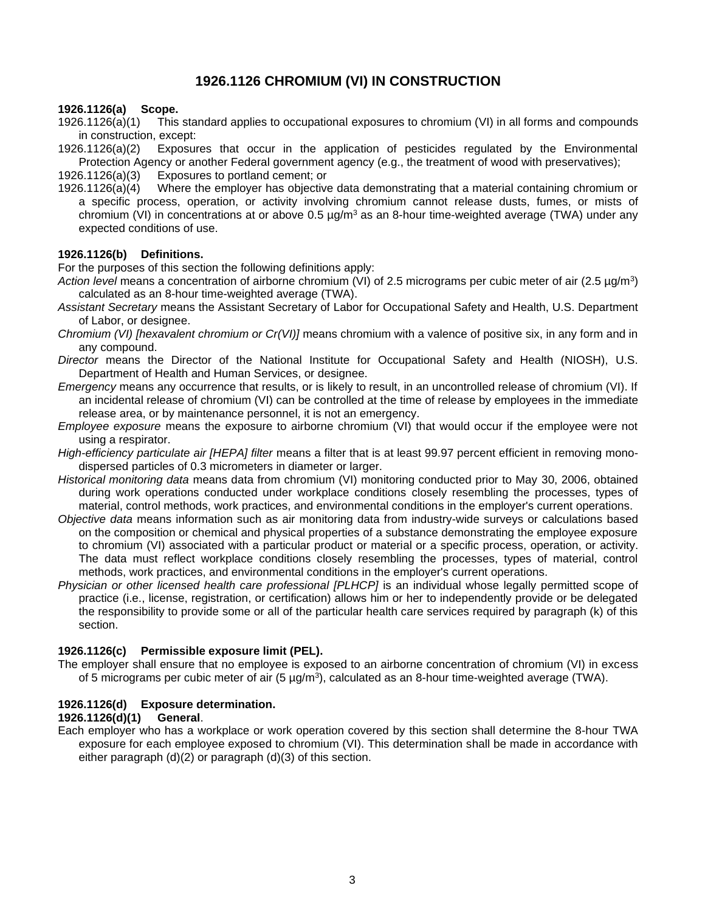# **1926.1126 CHROMIUM (VI) IN CONSTRUCTION**

# <span id="page-2-0"></span>**1926.1126(a) Scope.**

- This standard applies to occupational exposures to chromium (VI) in all forms and compounds in construction, except:
- 1926.1126(a)(2) Exposures that occur in the application of pesticides regulated by the Environmental Protection Agency or another Federal government agency (e.g., the treatment of wood with preservatives);

1926.1126(a)(3) Exposures to portland cement; or

1926.1126(a)(4) Where the employer has objective data demonstrating that a material containing chromium or a specific process, operation, or activity involving chromium cannot release dusts, fumes, or mists of chromium (VI) in concentrations at or above 0.5  $\mu$ g/m<sup>3</sup> as an 8-hour time-weighted average (TWA) under any expected conditions of use.

# <span id="page-2-1"></span>**1926.1126(b) Definitions.**

For the purposes of this section the following definitions apply:

- *Action level* means a concentration of airborne chromium (VI) of 2.5 micrograms per cubic meter of air (2.5 µg/m<sup>3</sup> ) calculated as an 8-hour time-weighted average (TWA).
- *Assistant Secretary* means the Assistant Secretary of Labor for Occupational Safety and Health, U.S. Department of Labor, or designee.
- *Chromium (VI) [hexavalent chromium or Cr(VI)]* means chromium with a valence of positive six, in any form and in any compound.
- *Director* means the Director of the National Institute for Occupational Safety and Health (NIOSH), U.S. Department of Health and Human Services, or designee.
- *Emergency* means any occurrence that results, or is likely to result, in an uncontrolled release of chromium (VI). If an incidental release of chromium (VI) can be controlled at the time of release by employees in the immediate release area, or by maintenance personnel, it is not an emergency.
- *Employee exposure* means the exposure to airborne chromium (VI) that would occur if the employee were not using a respirator.
- *High-efficiency particulate air [HEPA] filter* means a filter that is at least 99.97 percent efficient in removing monodispersed particles of 0.3 micrometers in diameter or larger.
- *Historical monitoring data* means data from chromium (VI) monitoring conducted prior to May 30, 2006, obtained during work operations conducted under workplace conditions closely resembling the processes, types of material, control methods, work practices, and environmental conditions in the employer's current operations.
- *Objective data* means information such as air monitoring data from industry-wide surveys or calculations based on the composition or chemical and physical properties of a substance demonstrating the employee exposure to chromium (VI) associated with a particular product or material or a specific process, operation, or activity. The data must reflect workplace conditions closely resembling the processes, types of material, control methods, work practices, and environmental conditions in the employer's current operations.
- *Physician or other licensed health care professional [PLHCP]* is an individual whose legally permitted scope of practice (i.e., license, registration, or certification) allows him or her to independently provide or be delegated the responsibility to provide some or all of the particular health care services required by paragraph (k) of this section.

# <span id="page-2-2"></span>**1926.1126(c) Permissible exposure limit (PEL).**

The employer shall ensure that no employee is exposed to an airborne concentration of chromium (VI) in excess of 5 micrograms per cubic meter of air (5  $\mu$ g/m<sup>3</sup>), calculated as an 8-hour time-weighted average (TWA).

# <span id="page-2-3"></span>**1926.1126(d) Exposure determination.**

#### **1926.1126(d)(1) General**.

Each employer who has a workplace or work operation covered by this section shall determine the 8-hour TWA exposure for each employee exposed to chromium (VI). This determination shall be made in accordance with either paragraph (d)(2) or paragraph (d)(3) of this section.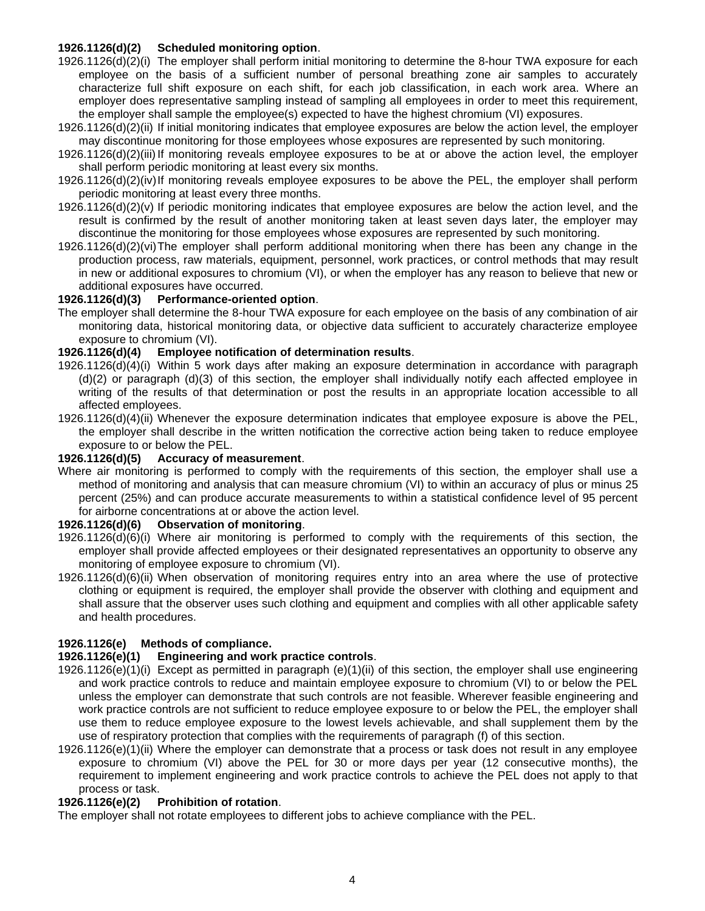# **1926.1126(d)(2) Scheduled monitoring option**.

- 1926.1126(d)(2)(i) The employer shall perform initial monitoring to determine the 8-hour TWA exposure for each employee on the basis of a sufficient number of personal breathing zone air samples to accurately characterize full shift exposure on each shift, for each job classification, in each work area. Where an employer does representative sampling instead of sampling all employees in order to meet this requirement, the employer shall sample the employee(s) expected to have the highest chromium (VI) exposures.
- 1926.1126(d)(2)(ii) If initial monitoring indicates that employee exposures are below the action level, the employer may discontinue monitoring for those employees whose exposures are represented by such monitoring.
- 1926.1126(d)(2)(iii)If monitoring reveals employee exposures to be at or above the action level, the employer shall perform periodic monitoring at least every six months.
- 1926.1126(d)(2)(iv)If monitoring reveals employee exposures to be above the PEL, the employer shall perform periodic monitoring at least every three months.
- 1926.1126(d)(2)(v) If periodic monitoring indicates that employee exposures are below the action level, and the result is confirmed by the result of another monitoring taken at least seven days later, the employer may discontinue the monitoring for those employees whose exposures are represented by such monitoring.
- 1926.1126(d)(2)(vi)The employer shall perform additional monitoring when there has been any change in the production process, raw materials, equipment, personnel, work practices, or control methods that may result in new or additional exposures to chromium (VI), or when the employer has any reason to believe that new or additional exposures have occurred.

#### **1926.1126(d)(3) Performance-oriented option**.

The employer shall determine the 8-hour TWA exposure for each employee on the basis of any combination of air monitoring data, historical monitoring data, or objective data sufficient to accurately characterize employee exposure to chromium (VI).

# **1926.1126(d)(4) Employee notification of determination results**.

- 1926.1126(d)(4)(i) Within 5 work days after making an exposure determination in accordance with paragraph (d)(2) or paragraph (d)(3) of this section, the employer shall individually notify each affected employee in writing of the results of that determination or post the results in an appropriate location accessible to all affected employees.
- 1926.1126(d)(4)(ii) Whenever the exposure determination indicates that employee exposure is above the PEL, the employer shall describe in the written notification the corrective action being taken to reduce employee exposure to or below the PEL.

#### **1926.1126(d)(5) Accuracy of measurement**.

Where air monitoring is performed to comply with the requirements of this section, the employer shall use a method of monitoring and analysis that can measure chromium (VI) to within an accuracy of plus or minus 25 percent (25%) and can produce accurate measurements to within a statistical confidence level of 95 percent for airborne concentrations at or above the action level.

#### **1926.1126(d)(6) Observation of monitoring**.

- 1926.1126(d)(6)(i) Where air monitoring is performed to comply with the requirements of this section, the employer shall provide affected employees or their designated representatives an opportunity to observe any monitoring of employee exposure to chromium (VI).
- 1926.1126(d)(6)(ii) When observation of monitoring requires entry into an area where the use of protective clothing or equipment is required, the employer shall provide the observer with clothing and equipment and shall assure that the observer uses such clothing and equipment and complies with all other applicable safety and health procedures.

# <span id="page-3-0"></span>**1926.1126(e) Methods of compliance.**

#### **1926.1126(e)(1) Engineering and work practice controls**.

- 1926.1126(e)(1)(i) Except as permitted in paragraph (e)(1)(ii) of this section, the employer shall use engineering and work practice controls to reduce and maintain employee exposure to chromium (VI) to or below the PEL unless the employer can demonstrate that such controls are not feasible. Wherever feasible engineering and work practice controls are not sufficient to reduce employee exposure to or below the PEL, the employer shall use them to reduce employee exposure to the lowest levels achievable, and shall supplement them by the use of respiratory protection that complies with the requirements of paragraph (f) of this section.
- 1926.1126(e)(1)(ii) Where the employer can demonstrate that a process or task does not result in any employee exposure to chromium (VI) above the PEL for 30 or more days per year (12 consecutive months), the requirement to implement engineering and work practice controls to achieve the PEL does not apply to that process or task.

#### **1926.1126(e)(2) Prohibition of rotation**.

<span id="page-3-1"></span>The employer shall not rotate employees to different jobs to achieve compliance with the PEL.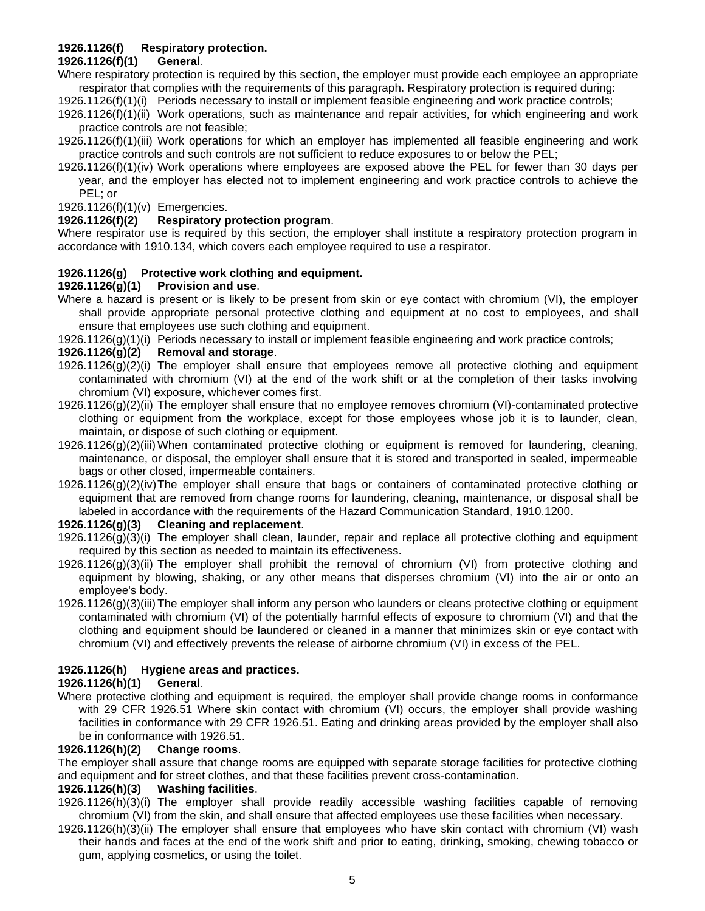# **1926.1126(f) Respiratory protection.**

#### **1926.1126(f)(1) General**.

Where respiratory protection is required by this section, the employer must provide each employee an appropriate respirator that complies with the requirements of this paragraph. Respiratory protection is required during:

1926.1126(f)(1)(i) Periods necessary to install or implement feasible engineering and work practice controls;

1926.1126(f)(1)(ii) Work operations, such as maintenance and repair activities, for which engineering and work practice controls are not feasible;

1926.1126(f)(1)(iii) Work operations for which an employer has implemented all feasible engineering and work practice controls and such controls are not sufficient to reduce exposures to or below the PEL;

1926.1126(f)(1)(iv) Work operations where employees are exposed above the PEL for fewer than 30 days per year, and the employer has elected not to implement engineering and work practice controls to achieve the PEL; or

1926.1126(f)(1)(v) Emergencies.

#### **1926.1126(f)(2) Respiratory protection program**.

Where respirator use is required by this section, the employer shall institute a respiratory protection program in accordance with 1910.134, which covers each employee required to use a respirator.

# <span id="page-4-0"></span>**1926.1126(g) Protective work clothing and equipment.**

# **1926.1126(g)(1) Provision and use**.

Where a hazard is present or is likely to be present from skin or eve contact with chromium (VI), the employer shall provide appropriate personal protective clothing and equipment at no cost to employees, and shall ensure that employees use such clothing and equipment.

1926.1126(g)(1)(i) Periods necessary to install or implement feasible engineering and work practice controls;

# **1926.1126(g)(2) Removal and storage**.

- 1926.1126(g)(2)(i) The employer shall ensure that employees remove all protective clothing and equipment contaminated with chromium (VI) at the end of the work shift or at the completion of their tasks involving chromium (VI) exposure, whichever comes first.
- 1926.1126(g)(2)(ii) The employer shall ensure that no employee removes chromium (VI)-contaminated protective clothing or equipment from the workplace, except for those employees whose job it is to launder, clean, maintain, or dispose of such clothing or equipment.
- 1926.1126(g)(2)(iii) When contaminated protective clothing or equipment is removed for laundering, cleaning, maintenance, or disposal, the employer shall ensure that it is stored and transported in sealed, impermeable bags or other closed, impermeable containers.
- 1926.1126(g)(2)(iv)The employer shall ensure that bags or containers of contaminated protective clothing or equipment that are removed from change rooms for laundering, cleaning, maintenance, or disposal shall be labeled in accordance with the requirements of the Hazard Communication Standard, 1910.1200.

# **1926.1126(g)(3) Cleaning and replacement**.

- 1926.1126(g)(3)(i) The employer shall clean, launder, repair and replace all protective clothing and equipment required by this section as needed to maintain its effectiveness.
- 1926.1126(g)(3)(ii) The employer shall prohibit the removal of chromium (VI) from protective clothing and equipment by blowing, shaking, or any other means that disperses chromium (VI) into the air or onto an employee's body.
- 1926.1126(g)(3)(iii)The employer shall inform any person who launders or cleans protective clothing or equipment contaminated with chromium (VI) of the potentially harmful effects of exposure to chromium (VI) and that the clothing and equipment should be laundered or cleaned in a manner that minimizes skin or eye contact with chromium (VI) and effectively prevents the release of airborne chromium (VI) in excess of the PEL.

# <span id="page-4-1"></span>**1926.1126(h) Hygiene areas and practices.**

#### **1926.1126(h)(1) General**.

Where protective clothing and equipment is required, the employer shall provide change rooms in conformance with 29 CFR 1926.51 Where skin contact with chromium (VI) occurs, the employer shall provide washing facilities in conformance with 29 CFR 1926.51. Eating and drinking areas provided by the employer shall also be in conformance with 1926.51.

#### **1926.1126(h)(2) Change rooms**.

The employer shall assure that change rooms are equipped with separate storage facilities for protective clothing and equipment and for street clothes, and that these facilities prevent cross-contamination.

#### **1926.1126(h)(3) Washing facilities**.

- 1926.1126(h)(3)(i) The employer shall provide readily accessible washing facilities capable of removing chromium (VI) from the skin, and shall ensure that affected employees use these facilities when necessary.
- 1926.1126(h)(3)(ii) The employer shall ensure that employees who have skin contact with chromium (VI) wash their hands and faces at the end of the work shift and prior to eating, drinking, smoking, chewing tobacco or gum, applying cosmetics, or using the toilet.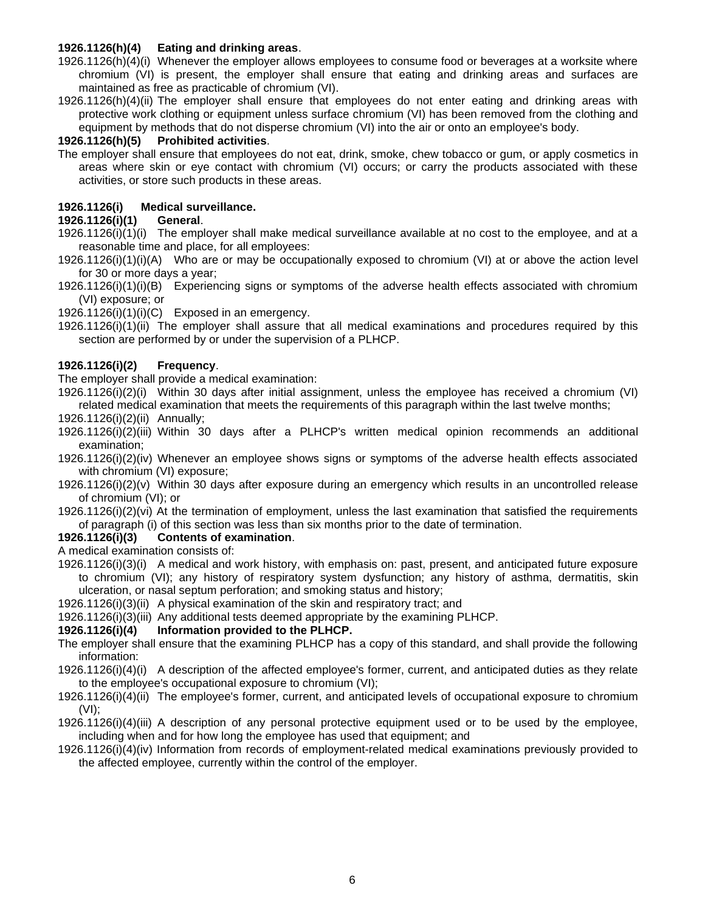#### **1926.1126(h)(4) Eating and drinking areas**.

- 1926.1126(h)(4)(i) Whenever the employer allows employees to consume food or beverages at a worksite where chromium (VI) is present, the employer shall ensure that eating and drinking areas and surfaces are maintained as free as practicable of chromium (VI).
- 1926.1126(h)(4)(ii) The employer shall ensure that employees do not enter eating and drinking areas with protective work clothing or equipment unless surface chromium (VI) has been removed from the clothing and equipment by methods that do not disperse chromium (VI) into the air or onto an employee's body.

#### **1926.1126(h)(5) Prohibited activities**.

The employer shall ensure that employees do not eat, drink, smoke, chew tobacco or gum, or apply cosmetics in areas where skin or eye contact with chromium (VI) occurs; or carry the products associated with these activities, or store such products in these areas.

# <span id="page-5-0"></span>**1926.1126(i) Medical surveillance.**

# **1926.1126(i)(1) General**.

- 1926.1126(i)(1)(i) The employer shall make medical surveillance available at no cost to the employee, and at a reasonable time and place, for all employees:
- 1926.1126(i)(1)(i)(A) Who are or may be occupationally exposed to chromium (VI) at or above the action level for 30 or more days a year;
- 1926.1126(i)(1)(i)(B) Experiencing signs or symptoms of the adverse health effects associated with chromium (VI) exposure; or

1926.1126(i)(1)(i)(C) Exposed in an emergency.

1926.1126(i)(1)(ii) The employer shall assure that all medical examinations and procedures required by this section are performed by or under the supervision of a PLHCP.

# **1926.1126(i)(2) Frequency**.

The employer shall provide a medical examination:

1926.1126(i)(2)(i) Within 30 days after initial assignment, unless the employee has received a chromium (VI) related medical examination that meets the requirements of this paragraph within the last twelve months;

1926.1126(i)(2)(ii) Annually;

1926.1126(i)(2)(iii) Within 30 days after a PLHCP's written medical opinion recommends an additional examination;

- 1926.1126(i)(2)(iv) Whenever an employee shows signs or symptoms of the adverse health effects associated with chromium (VI) exposure;
- 1926.1126(i)(2)(v) Within 30 days after exposure during an emergency which results in an uncontrolled release of chromium (VI); or
- 1926.1126(i)(2)(vi) At the termination of employment, unless the last examination that satisfied the requirements of paragraph (i) of this section was less than six months prior to the date of termination.

#### **1926.1126(i)(3) Contents of examination**.

A medical examination consists of:

- 1926.1126(i)(3)(i) A medical and work history, with emphasis on: past, present, and anticipated future exposure to chromium (VI); any history of respiratory system dysfunction; any history of asthma, dermatitis, skin ulceration, or nasal septum perforation; and smoking status and history;
- 1926.1126(i)(3)(ii) A physical examination of the skin and respiratory tract; and
- 1926.1126(i)(3)(iii) Any additional tests deemed appropriate by the examining PLHCP.

#### **1926.1126(i)(4) Information provided to the PLHCP.**

- The employer shall ensure that the examining PLHCP has a copy of this standard, and shall provide the following information:
- 1926.1126(i)(4)(i) A description of the affected employee's former, current, and anticipated duties as they relate to the employee's occupational exposure to chromium (VI);
- 1926.1126(i)(4)(ii) The employee's former, current, and anticipated levels of occupational exposure to chromium (VI);
- 1926.1126(i)(4)(iii) A description of any personal protective equipment used or to be used by the employee, including when and for how long the employee has used that equipment; and
- 1926.1126(i)(4)(iv) Information from records of employment-related medical examinations previously provided to the affected employee, currently within the control of the employer.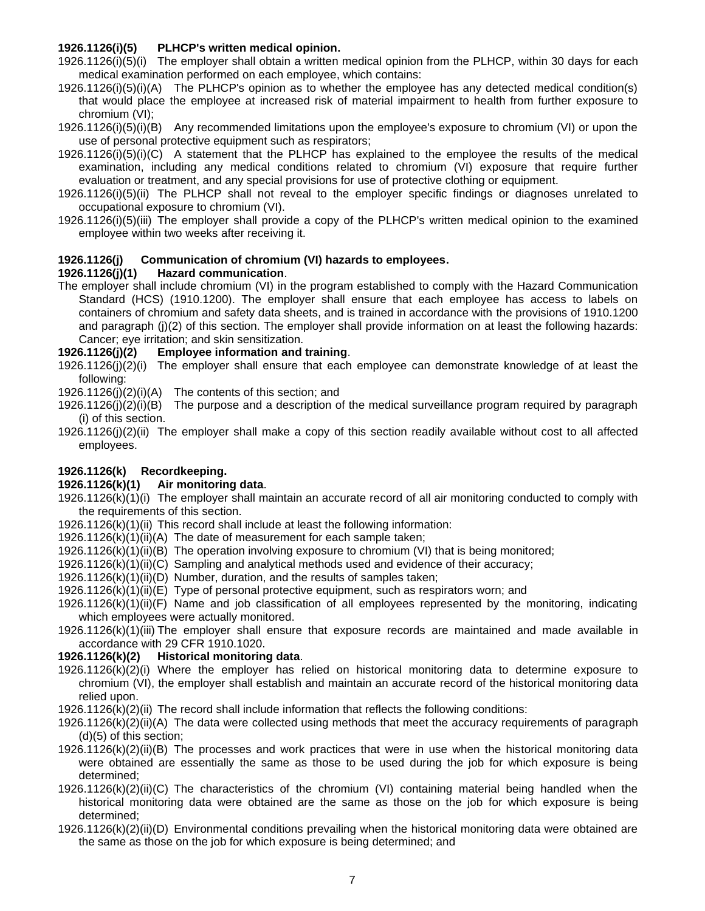# **1926.1126(i)(5) PLHCP's written medical opinion.**

1926.1126(i)(5)(i) The employer shall obtain a written medical opinion from the PLHCP, within 30 days for each medical examination performed on each employee, which contains:

1926.1126(i)(5)(i)(A) The PLHCP's opinion as to whether the employee has any detected medical condition(s) that would place the employee at increased risk of material impairment to health from further exposure to chromium (VI);

1926.1126(i)(5)(i)(B) Any recommended limitations upon the employee's exposure to chromium (VI) or upon the use of personal protective equipment such as respirators;

1926.1126(i)(5)(i)(C) A statement that the PLHCP has explained to the employee the results of the medical examination, including any medical conditions related to chromium (VI) exposure that require further evaluation or treatment, and any special provisions for use of protective clothing or equipment.

1926.1126(i)(5)(ii) The PLHCP shall not reveal to the employer specific findings or diagnoses unrelated to occupational exposure to chromium (VI).

1926.1126(i)(5)(iii) The employer shall provide a copy of the PLHCP's written medical opinion to the examined employee within two weeks after receiving it.

# <span id="page-6-0"></span>**1926.1126(j) Communication of chromium (VI) hazards to employees.**

# **1926.1126(j)(1) Hazard communication**.

The employer shall include chromium (VI) in the program established to comply with the Hazard Communication Standard (HCS) (1910.1200). The employer shall ensure that each employee has access to labels on containers of chromium and safety data sheets, and is trained in accordance with the provisions of 1910.1200 and paragraph (j)(2) of this section. The employer shall provide information on at least the following hazards: Cancer; eye irritation; and skin sensitization.

# **1926.1126(j)(2) Employee information and training**.

1926.1126(j)(2)(i) The employer shall ensure that each employee can demonstrate knowledge of at least the following:

1926.1126(j)(2)(i)(A) The contents of this section; and

1926.1126(j)(2)(i)(B) The purpose and a description of the medical surveillance program required by paragraph (i) of this section.

1926.1126(j)(2)(ii) The employer shall make a copy of this section readily available without cost to all affected employees.

# <span id="page-6-1"></span>**1926.1126(k) Recordkeeping.**

#### **1926.1126(k)(1) Air monitoring data**.

1926.1126(k)(1)(i) The employer shall maintain an accurate record of all air monitoring conducted to comply with the requirements of this section.

1926.1126(k)(1)(ii) This record shall include at least the following information:

1926.1126(k)(1)(ii)(A) The date of measurement for each sample taken;

1926.1126(k)(1)(ii)(B) The operation involving exposure to chromium (VI) that is being monitored;

1926.1126(k)(1)(ii)(C) Sampling and analytical methods used and evidence of their accuracy;

1926.1126(k)(1)(ii)(D) Number, duration, and the results of samples taken;

1926.1126(k)(1)(ii)(E) Type of personal protective equipment, such as respirators worn; and

1926.1126(k)(1)(ii)(F) Name and job classification of all employees represented by the monitoring, indicating which employees were actually monitored.

1926.1126(k)(1)(iii) The employer shall ensure that exposure records are maintained and made available in accordance with 29 CFR 1910.1020.

# **1926.1126(k)(2) Historical monitoring data**.

1926.1126(k)(2)(i) Where the employer has relied on historical monitoring data to determine exposure to chromium (VI), the employer shall establish and maintain an accurate record of the historical monitoring data relied upon.

1926.1126(k)(2)(ii) The record shall include information that reflects the following conditions:

1926.1126(k)(2)(ii)(A) The data were collected using methods that meet the accuracy requirements of paragraph (d)(5) of this section;

- 1926.1126(k)(2)(ii)(B) The processes and work practices that were in use when the historical monitoring data were obtained are essentially the same as those to be used during the job for which exposure is being determined;
- 1926.1126(k)(2)(ii)(C) The characteristics of the chromium (VI) containing material being handled when the historical monitoring data were obtained are the same as those on the job for which exposure is being determined;
- 1926.1126(k)(2)(ii)(D) Environmental conditions prevailing when the historical monitoring data were obtained are the same as those on the job for which exposure is being determined; and